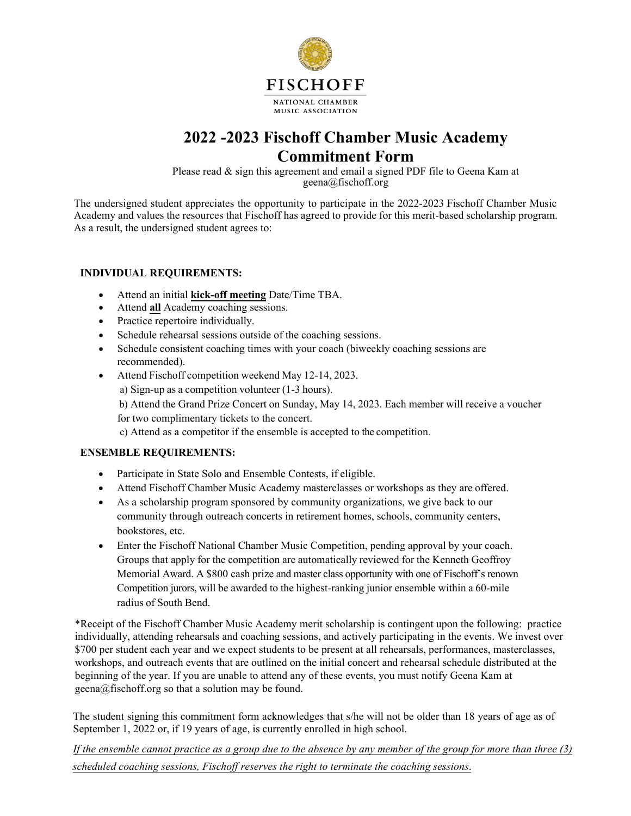

## **2022 -2023 Fischoff Chamber Music Academy Commitment Form**

Please read & sign this agreement and email a signed PDF file to Geena Kam at geena@fischoff.org

The undersigned student appreciates the opportunity to participate in the 2022-2023 Fischoff Chamber Music Academy and values the resources that Fischoff has agreed to provide for this merit-based scholarship program. As a result, the undersigned student agrees to:

## **INDIVIDUAL REQUIREMENTS:**

- Attend an initial **kick-off meeting** Date/Time TBA.
- Attend **all** Academy coaching sessions.
- Practice repertoire individually.
- Schedule rehearsal sessions outside of the coaching sessions.
- Schedule consistent coaching times with your coach (biweekly coaching sessions are recommended).
- Attend Fischoff competition weekend May 12-14, 2023.
	- a) Sign-up as a competition volunteer (1-3 hours).

b) Attend the Grand Prize Concert on Sunday, May 14, 2023. Each member will receive a voucher for two complimentary tickets to the concert.

c) Attend as a competitor if the ensemble is accepted to the competition.

## **ENSEMBLE REQUIREMENTS:**

- Participate in State Solo and Ensemble Contests, if eligible.
- Attend Fischoff Chamber Music Academy masterclasses or workshops as they are offered.
- As a scholarship program sponsored by community organizations, we give back to our community through outreach concerts in retirement homes, schools, community centers, bookstores, etc.
- Enter the Fischoff National Chamber Music Competition, pending approval by your coach. Groups that apply for the competition are automatically reviewed for the Kenneth Geoffroy Memorial Award. A \$800 cash prize and master class opportunity with one of Fischoff's renown Competition jurors, will be awarded to the highest-ranking junior ensemble within a 60-mile radius of South Bend.

\*Receipt of the Fischoff Chamber Music Academy merit scholarship is contingent upon the following: practice individually, attending rehearsals and coaching sessions, and actively participating in the events. We invest over \$700 per student each year and we expect students to be present at all rehearsals, performances, masterclasses, workshops, and outreach events that are outlined on the initial concert and rehearsal schedule distributed at the beginning of the year. If you are unable to attend any of these events, you must notify Geena Kam at geena@fischoff.org so that a solution may be found.

The student signing this commitment form acknowledges that s/he will not be older than 18 years of age as of September 1, 2022 or, if 19 years of age, is currently enrolled in high school.

*If the ensemble cannot practice as a group due to the absence by any member of the group for more than three (3) scheduled coaching sessions, Fischoff reserves the right to terminate the coaching sessions*.